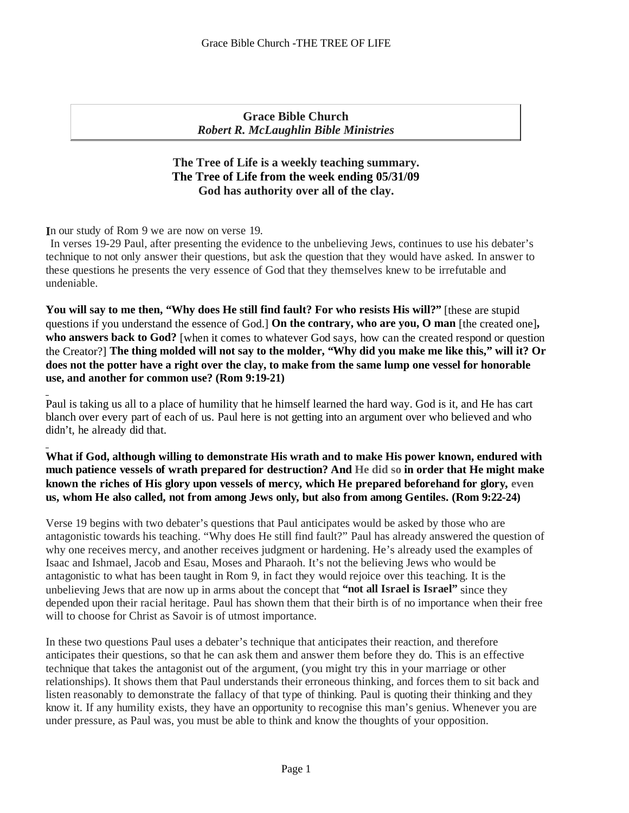**Grace Bible Church** *Robert R. McLaughlin Bible Ministries*

# **The Tree of Life is a weekly teaching summary. The Tree of Life from the week ending 05/31/09 God has authority over all of the clay.**

n our study of Rom 9 we are now on verse 19. **I**

In verses 19-29 Paul, after presenting the evidence to the unbelieving Jews, continues to use his debater's technique to not only answer their questions, but ask the question that they would have asked. In answer to these questions he presents the very essence of God that they themselves knew to be irrefutable and undeniable.

**You will say to me then, "Why does He still find fault? For who resists His will?"** [these are stupid questions if you understand the essence of God.] **On the contrary, who are you, O man** [the created one]**, who answers back to God?** [when it comes to whatever God says, how can the created respond or question the Creator?] **The thing molded will not say to the molder, "Why did you make me like this," will it? Or does not the potter have a right over the clay, to make from the same lump one vessel for honorable use, and another for common use? (Rom 9:19-21)**

Paul is taking us all to a place of humility that he himself learned the hard way. God is it, and He has cart blanch over every part of each of us. Paul here is not getting into an argument over who believed and who didn't, he already did that.

**What if God, although willing to demonstrate His wrath and to make His power known, endured with much patience vessels of wrath prepared for destruction? And He did so in order that He might make known the riches of His glory upon vessels of mercy, which He prepared beforehand for glory, even us, whom He also called, not from among Jews only, but also from among Gentiles. (Rom 9:22-24)**

Verse 19 begins with two debater's questions that Paul anticipates would be asked by those who are antagonistic towards his teaching. "Why does He still find fault?" Paul has already answered the question of why one receives mercy, and another receives judgment or hardening. He's already used the examples of Isaac and Ishmael, Jacob and Esau, Moses and Pharaoh. It's not the believing Jews who would be antagonistic to what has been taught in Rom 9, in fact they would rejoice over this teaching. It is the unbelieving Jews that are now up in arms about the concept that **"not all Israel is Israel"** since they depended upon their racial heritage. Paul has shown them that their birth is of no importance when their free will to choose for Christ as Savoir is of utmost importance.

In these two questions Paul uses a debater's technique that anticipates their reaction, and therefore anticipates their questions, so that he can ask them and answer them before they do. This isan effective technique that takes the antagonist out of the argument, (you might try this in your marriage or other relationships). It shows them that Paul understands their erroneous thinking, and forces them to sit back and listen reasonably to demonstrate the fallacy of that type of thinking. Paul is quoting their thinking and they know it. If any humility exists, they have an opportunity to recognise this man's genius. Whenever you are under pressure, as Paul was, you must be able to think and know the thoughts of your opposition.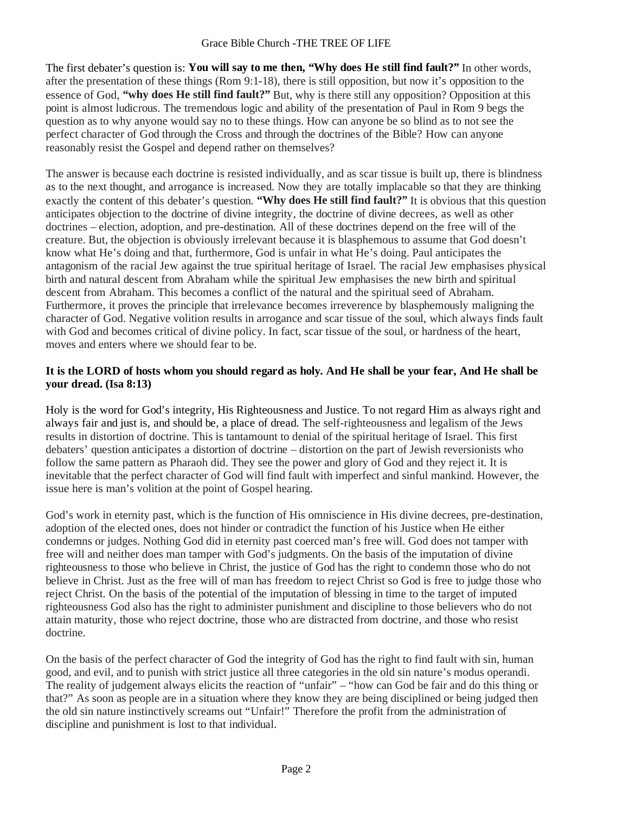#### Grace Bible Church -THE TREE OF LIFE

The first debater's question is: **You will say to me then, "Why does He still find fault?"** In other words, after the presentation of these things (Rom 9:1-18), there is still opposition, but now it's opposition to the essence of God, **"why does He still find fault?"** But, why is there still any opposition? Opposition at this point is almost ludicrous. The tremendous logic and ability of the presentation of Paul in Rom 9 begs the question as to why anyone would say no to these things. How can anyone be so blind as to not see the perfect character of God through the Cross and through the doctrines of the Bible? How can anyone reasonably resist the Gospel and depend rather on themselves?

The answer is because each doctrine is resisted individually, and as scar tissue is built up, there is blindness as to the next thought, and arrogance is increased. Now they are totally implacable so that they are thinking exactly the content of this debater's question. **"Why does He still find fault?"** It is obvious that this question anticipates objection to the doctrine of divine integrity, the doctrine of divine decrees, as well as other doctrines – election, adoption, and pre-destination. All of these doctrines depend on the free will of the creature. But, the objection is obviously irrelevant because it is blasphemous to assume that God doesn't know what He's doing and that, furthermore, God is unfair in what He's doing. Paul anticipates the antagonism of the racial Jew against the true spiritual heritage of Israel. The racial Jew emphasises physical birth and natural descent from Abraham while the spiritual Jew emphasises the new birth and spiritual descent from Abraham. This becomes a conflict of the natural and the spiritual seed of Abraham. Furthermore, it proves the principle that irrelevance becomes irreverence by blasphemously maligning the character of God. Negative volition results in arrogance and scar tissue of the soul, which always finds fault with God and becomes critical of divine policy. In fact, scar tissue of the soul, or hardness of the heart, moves and enters where we should fear to be.

# **It is the LORD of hosts whom you should regard as holy. And He shall be your fear, And He shall be your dread. (Isa 8:13)**

Holy is the word for God's integrity, His Righteousness and Justice. To not regard Him as always right and always fair and just is, and should be, a place of dread. The self-righteousness and legalism of the Jews results in distortion of doctrine. This is tantamount to denial of the spiritual heritage of Israel. This first debaters' question anticipates a distortion of doctrine – distortion on the part of Jewish reversionists who follow the same pattern as Pharaoh did. They see the power and glory of God and they reject it. It is inevitable that the perfect character of God will find fault with imperfect and sinful mankind. However, the issue here is man's volition at the point of Gospel hearing.

God's work in eternity past, which is the function of His omniscience in His divine decrees, pre-destination, adoption of the elected ones, does not hinder or contradict the function of his Justice when He either condemns or judges. Nothing God did in eternity past coerced man's free will. God does not tamper with free will and neither does man tamper with God's judgments. On the basis of the imputation of divine righteousness to those who believe in Christ, the justice of God has the right to condemn those who do not believe in Christ. Just as the free will of man has freedom to reject Christ so God is free to judge those who reject Christ. On the basis of the potential of the imputation of blessing in time to the target of imputed righteousness God also has the right to administer punishment and discipline to those believers who do not attain maturity, those who reject doctrine, those who are distracted from doctrine, and those who resist doctrine.

On the basis of the perfect character of God the integrity of God has the right to find fault with sin, human good, and evil, and to punish with strict justice all three categories in the old sin nature's modus operandi. The reality of judgement always elicits the reaction of "unfair" – "how can God be fair and do this thing or that?" As soon as people are in a situation where they know they are being disciplined or being judged then the old sin nature instinctively screams out "Unfair!" Therefore the profit from the administration of discipline and punishment is lost to that individual.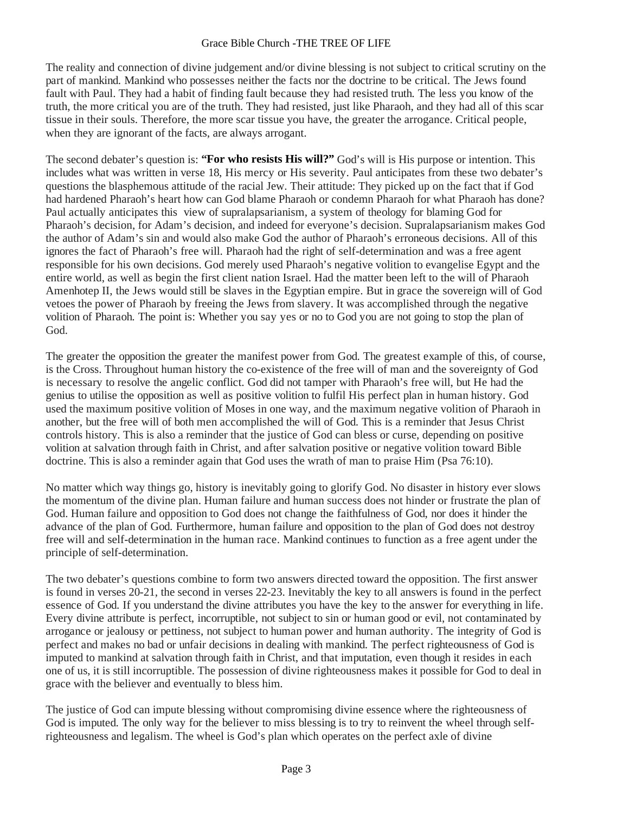## Grace Bible Church -THE TREE OF LIFE

The reality and connection of divine judgement and/or divine blessing is not subject to critical scrutiny on the part of mankind. Mankind who possesses neither the facts nor the doctrine to be critical. The Jews found fault with Paul. They had a habit of finding fault because they had resisted truth. The less you know of the truth, the more critical you are of the truth. They had resisted, just like Pharaoh, and they had all of this scar tissue in their souls. Therefore, the more scar tissue you have, the greater the arrogance. Critical people, when they are ignorant of the facts, are always arrogant.

The second debater's question is: **"For who resists His will?"** God's will is His purpose or intention. This includes what was written in verse 18, His mercy or His severity. Paul anticipates from these two debater's questions the blasphemous attitude of the racial Jew. Their attitude: They picked up on the fact that if God had hardened Pharaoh's heart how can God blame Pharaoh or condemn Pharaoh for what Pharaoh has done? Paul actually anticipates this view of supralapsarianism, a system of theology for blaming God for Pharaoh's decision, for Adam's decision, and indeed for everyone's decision. Supralapsarianism makes God the author of Adam's sin and would also make God the author of Pharaoh's erroneous decisions. All of this ignores the fact of Pharaoh's free will. Pharaoh had the right of self-determination and was a free agent responsible for his own decisions. God merely used Pharaoh's negative volition to evangelise Egypt and the entire world, as well as begin the first client nation Israel. Had the matter been left to the will of Pharaoh Amenhotep II, the Jews would still be slaves in the Egyptian empire. But in grace the sovereign will of God vetoes the power of Pharaoh by freeing the Jews from slavery. It was accomplished through the negative volition of Pharaoh. The point is: Whether you say yes or no to God you arenot going to stop the plan of God.

The greater the opposition the greater the manifest power from God. The greatest example of this, of course, is the Cross. Throughout human history the co-existence of the free will of man and the sovereignty of God is necessary to resolve the angelic conflict. God did not tamper with Pharaoh's free will, but He had the genius to utilise the opposition as well as positive volition to fulfil His perfect plan in human history. God used the maximum positive volition of Moses in one way, and the maximum negative volition of Pharaoh in another, but the free will of both men accomplished the will of God. This is a reminder that Jesus Christ controls history. This is also a reminder that the justice of God can bless or curse, depending on positive volition at salvation through faith in Christ, and after salvation positive or negative volition toward Bible doctrine. This is also a reminder again that God uses the wrath of man to praise Him (Psa 76:10).

No matter which way things go, history is inevitably going to glorify God. No disaster in history ever slows the momentum of the divine plan. Human failure and human success does not hinder or frustrate the plan of God. Human failure and opposition to God does not change the faithfulness of God, nor does it hinder the advance of the plan of God. Furthermore, human failure and opposition to the plan of God does not destroy free will and self-determination in the human race. Mankind continues to function as a free agent under the principle of self-determination.

The two debater's questions combine to form two answers directed toward the opposition. The first answer is found in verses 20-21, the second in verses 22-23. Inevitably the key to all answers is found in the perfect essence of God. If you understand the divine attributes you have the key to the answer for everything in life. Every divine attribute is perfect, incorruptible, not subject to sin or human good or evil, not contaminated by arrogance or jealousy or pettiness, not subject to human power and human authority. The integrity of God is perfect and makes no bad or unfair decisions in dealing with mankind. The perfect righteousness of God is imputed to mankind at salvation through faith in Christ, and that imputation, even though it resides in each one of us, it is still incorruptible. The possession of divine righteousness makes it possible for God to deal in grace with the believer and eventually to bless him.

The justice of God can impute blessing without compromising divine essence where the righteousness of God is imputed. The only way for the believer to miss blessing is to try to reinvent the wheel through selfrighteousness and legalism. The wheel is God's plan which operates on the perfect axle of divine